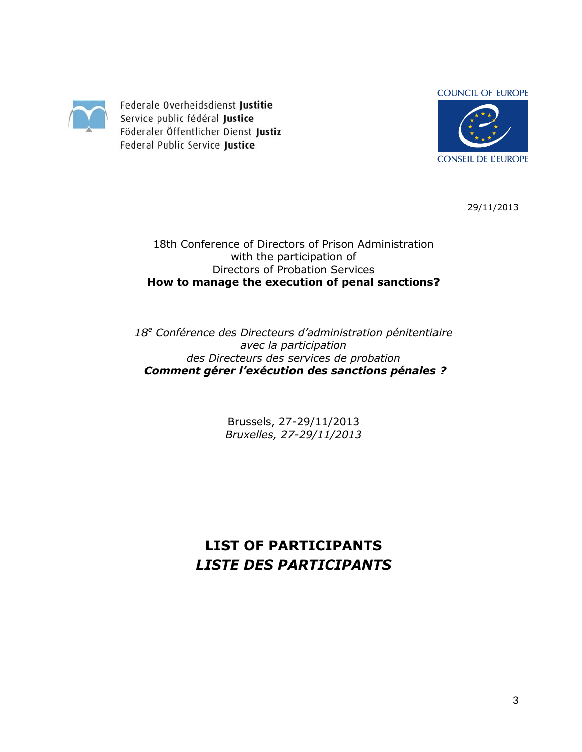

Federale Overheidsdienst Justitie Service public fédéral Justice Föderaler Öffentlicher Dienst Justiz Federal Public Service Justice



29/11/2013

18th Conference of Directors of Prison Administration with the participation of Directors of Probation Services **How to manage the execution of penal sanctions?**

*18<sup>e</sup> Conférence des Directeurs d'administration pénitentiaire avec la participation des Directeurs des services de probation Comment gérer l'exécution des sanctions pénales ?* 

> Brussels, 27-29/11/2013 *Bruxelles, 27-29/11/2013*

**LIST OF PARTICIPANTS** *LISTE DES PARTICIPANTS*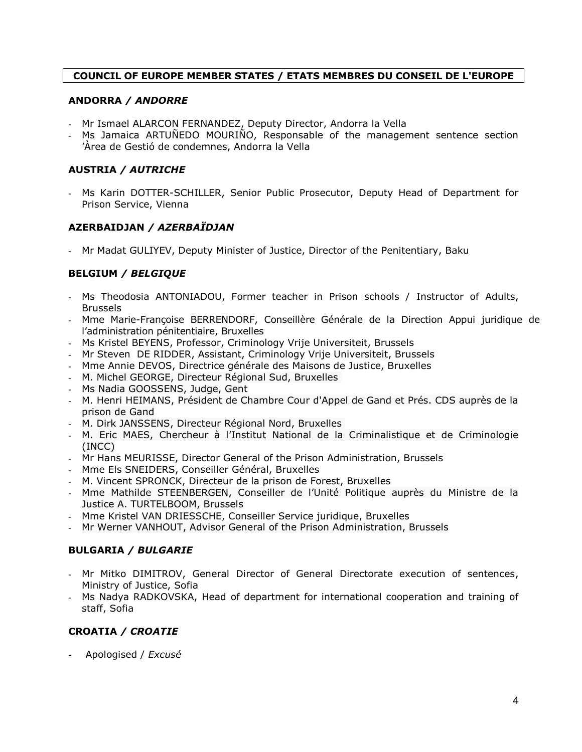# **COUNCIL OF EUROPE MEMBER STATES / ETATS MEMBRES DU CONSEIL DE L'EUROPE**

### **ANDORRA** */ ANDORRE*

- Mr Ismael ALARCON FERNANDEZ, Deputy Director, Andorra la Vella
- Ms Jamaica ARTUÑEDO MOURIÑO, Responsable of the management sentence section 'Àrea de Gestió de condemnes, Andorra la Vella

# **AUSTRIA** */ AUTRICHE*

- Ms Karin DOTTER-SCHILLER, Senior Public Prosecutor, Deputy Head of Department for Prison Service, Vienna

## **AZERBAIDJAN** */ AZERBAÏDJAN*

- Mr Madat GULIYEV, Deputy Minister of Justice, Director of the Penitentiary, Baku

# **BELGIUM** */ BELGIQUE*

- Ms Theodosia ANTONIADOU, Former teacher in Prison schools / Instructor of Adults, Brussels
- Mme Marie-Françoise BERRENDORF, Conseillère Générale de la Direction Appui juridique de l'administration pénitentiaire, Bruxelles
- Ms Kristel BEYENS, Professor, Criminology Vrije Universiteit, Brussels
- Mr Steven DE RIDDER, Assistant, Criminology Vrije Universiteit, Brussels
- Mme Annie DEVOS, Directrice générale des Maisons de Justice, Bruxelles
- M. Michel GEORGE, Directeur Régional Sud, Bruxelles
- Ms Nadia GOOSSENS, Judge, Gent
- M. Henri HEIMANS, Président de Chambre Cour d'Appel de Gand et Prés. CDS auprès de la prison de Gand
- M. Dirk JANSSENS, Directeur Régional Nord, Bruxelles
- M. Eric MAES, Chercheur à l'Institut National de la Criminalistique et de Criminologie (INCC)
- Mr Hans MEURISSE, Director General of the Prison Administration, Brussels
- Mme Els SNEIDERS, Conseiller Général, Bruxelles
- M. Vincent SPRONCK, Directeur de la prison de Forest, Bruxelles
- Mme Mathilde STEENBERGEN, Conseiller de l'Unité Politique auprès du Ministre de la Justice A. TURTELBOOM, Brussels
- Mme Kristel VAN DRIESSCHE, Conseiller Service juridique, Bruxelles
- Mr Werner VANHOUT, Advisor General of the Prison Administration, Brussels

# **BULGARIA** */ BULGARIE*

- Mr Mitko DIMITROV, General Director of General Directorate execution of sentences, Ministry of Justice, Sofia
- Ms Nadya RADKOVSKA, Head of department for international cooperation and training of staff, Sofia

# **CROATIA** */ CROATIE*

- Apologised / *Excusé*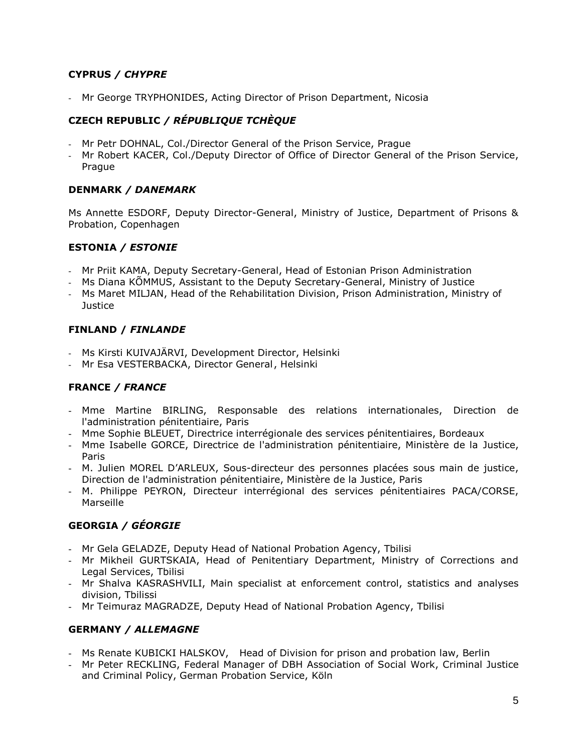# **CYPRUS** */ CHYPRE*

- Mr George TRYPHONIDES, Acting Director of Prison Department, Nicosia

# **CZECH REPUBLIC** */ RÉPUBLIQUE TCHÈQUE*

- Mr Petr DOHNAL, Col./Director General of the Prison Service, Prague
- Mr Robert KACER, Col./Deputy Director of Office of Director General of the Prison Service, Prague

# **DENMARK** */ DANEMARK*

Ms Annette ESDORF, Deputy Director-General, Ministry of Justice, Department of Prisons & Probation, Copenhagen

# **ESTONIA** */ ESTONIE*

- Mr Priit KAMA, Deputy Secretary-General, Head of Estonian Prison Administration
- Ms Diana KÕMMUS, Assistant to the Deputy Secretary-General, Ministry of Justice
- Ms Maret MILJAN, Head of the Rehabilitation Division, Prison Administration, Ministry of **Justice**

# **FINLAND /** *FINLANDE*

- Ms Kirsti KUIVAJÄRVI, Development Director, Helsinki
- Mr Esa VESTERBACKA, Director General, Helsinki

# **FRANCE** */ FRANCE*

- Mme Martine BIRLING, Responsable des relations internationales, Direction de l'administration pénitentiaire, Paris
- Mme Sophie BLEUET, Directrice interrégionale des services pénitentiaires, Bordeaux
- Mme Isabelle GORCE, Directrice de l'administration pénitentiaire, Ministère de la Justice, Paris
- M. Julien MOREL D'ARLEUX, Sous-directeur des personnes placées sous main de justice, Direction de l'administration pénitentiaire, Ministère de la Justice, Paris
- M. Philippe PEYRON, Directeur interrégional des services pénitentiaires PACA/CORSE, Marseille

# **GEORGIA** */ GÉORGIE*

- Mr Gela GELADZE, Deputy Head of National Probation Agency, Tbilisi
- Mr Mikheil GURTSKAIA, Head of Penitentiary Department, Ministry of Corrections and Legal Services, Tbilisi
- Mr Shalva KASRASHVILI, Main specialist at enforcement control, statistics and analyses division, Tbilissi
- Mr Teimuraz MAGRADZE, Deputy Head of National Probation Agency, Tbilisi

# **GERMANY** */ ALLEMAGNE*

- Ms Renate KUBICKI HALSKOV, Head of Division for prison and probation law, Berlin
- Mr Peter RECKLING, Federal Manager of DBH Association of Social Work, Criminal Justice and Criminal Policy, German Probation Service, Köln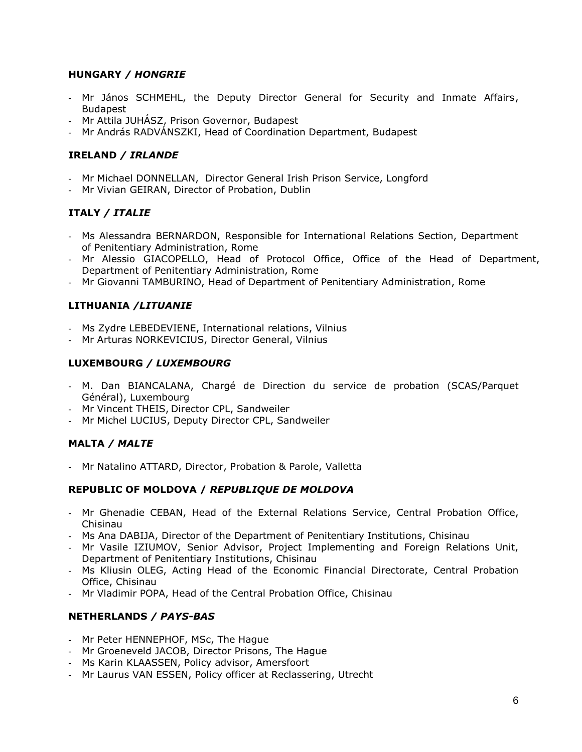## **HUNGARY** */ HONGRIE*

- Mr János SCHMEHL, the Deputy Director General for Security and Inmate Affairs, Budapest
- Mr Attila JUHÁSZ, Prison Governor, Budapest
- Mr András RADVÁNSZKI, Head of Coordination Department, Budapest

## **IRELAND** */ IRLANDE*

- Mr Michael DONNELLAN, Director General Irish Prison Service, Longford
- Mr Vivian GEIRAN, Director of Probation, Dublin

## **ITALY** */ ITALIE*

- Ms Alessandra BERNARDON, Responsible for International Relations Section, Department of Penitentiary Administration, Rome
- Mr Alessio GIACOPELLO, Head of Protocol Office, Office of the Head of Department, Department of Penitentiary Administration, Rome
- Mr Giovanni TAMBURINO, Head of Department of Penitentiary Administration, Rome

# **LITHUANIA** */LITUANIE*

- Ms Zydre LEBEDEVIENE, International relations, Vilnius
- Mr Arturas NORKEVICIUS, Director General, Vilnius

## **LUXEMBOURG** */ LUXEMBOURG*

- M. Dan BIANCALANA, Chargé de Direction du service de probation (SCAS/Parquet Général), Luxembourg
- Mr Vincent THEIS, Director CPL, Sandweiler
- Mr Michel LUCIUS, Deputy Director CPL, Sandweiler

# **MALTA** */ MALTE*

- Mr Natalino ATTARD, Director, Probation & Parole, Valletta

#### **REPUBLIC OF MOLDOVA /** *[REPUBLIQUE DE MOLDOVA](http://intranet.coe.int/jahia/Jahia/lang/en/Accueil/Protocol/Diplomatic_missions_and_Protocol_Lists/Diplomatic_Missions_#Moldova)*

- Mr Ghenadie CEBAN, Head of the External Relations Service, Central Probation Office, Chisinau
- Ms Ana DABIJA, Director of the Department of Penitentiary Institutions, Chisinau
- Mr Vasile IZIUMOV, Senior Advisor, Project Implementing and Foreign Relations Unit, Department of Penitentiary Institutions, Chisinau
- Ms Kliusin OLEG, Acting Head of the Economic Financial Directorate, Central Probation Office, Chisinau
- Mr Vladimir POPA, Head of the Central Probation Office, Chisinau

#### **NETHERLANDS** */ PAYS-BAS*

- Mr Peter HENNEPHOF, MSc, The Hague
- Mr Groeneveld JACOB, Director Prisons, The Hague
- Ms Karin KLAASSEN, Policy advisor, Amersfoort
- Mr Laurus VAN ESSEN, Policy officer at Reclassering, Utrecht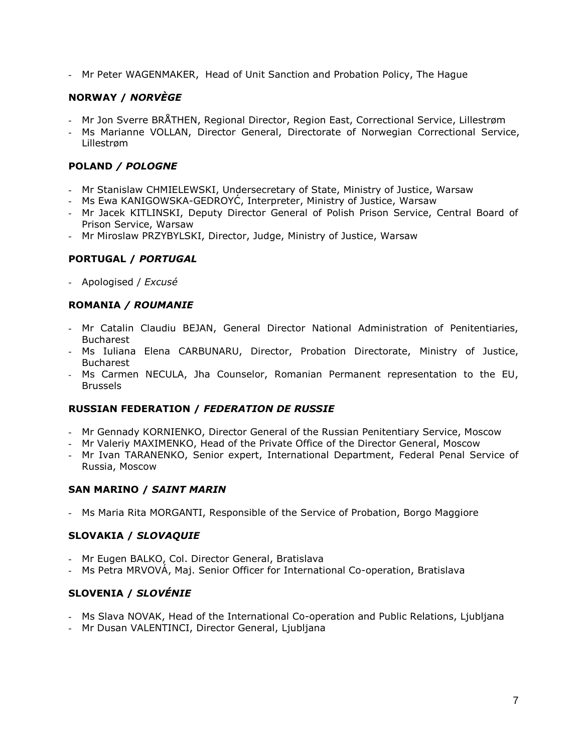- Mr Peter WAGENMAKER, Head of Unit Sanction and Probation Policy, The Hague

# **NORWAY /** *NORVÈGE*

- Mr Jon Sverre BRÅTHEN, Regional Director, Region East, Correctional Service, Lillestrøm
- Ms Marianne VOLLAN, Director General, Directorate of Norwegian Correctional Service, Lillestrøm

# **POLAND** */ POLOGNE*

- Mr Stanislaw CHMIELEWSKI, Undersecretary of State, Ministry of Justice, Warsaw
- Ms Ewa KANIGOWSKA-GEDROYĆ, Interpreter, Ministry of Justice, Warsaw
- Mr Jacek KITLINSKI, Deputy Director General of Polish Prison Service, Central Board of Prison Service, Warsaw
- Mr Miroslaw PRZYBYLSKI, Director, Judge, Ministry of Justice, Warsaw

# **PORTUGAL /** *PORTUGAL*

- Apologised / *Excusé*

# **ROMANIA** */ ROUMANIE*

- Mr Catalin Claudiu BEJAN, General Director National Administration of Penitentiaries, Bucharest
- Ms Iuliana Elena CARBUNARU, Director, Probation Directorate, Ministry of Justice, Bucharest
- Ms Carmen NECULA, Jha Counselor, Romanian Permanent representation to the EU, Brussels

#### **RUSSIAN FEDERATION /** *FEDERATION DE RUSSIE*

- Mr Gennady KORNIENKO, Director General of the Russian Penitentiary Service, Moscow
- Mr Valeriy MAXIMENKO, Head of the Private Office of the Director General, Moscow
- Mr Ivan TARANENKO, Senior expert, International Department, Federal Penal Service of Russia, Moscow

# **SAN MARINO /** *SAINT MARIN*

- Ms Maria Rita MORGANTI, Responsible of the Service of Probation, Borgo Maggiore

# **SLOVAKIA /** *SLOVAQUIE*

- Mr Eugen BALKO, Col. Director General, Bratislava
- Ms Petra MRVOVÁ, Maj. Senior Officer for International Co-operation, Bratislava

# **SLOVENIA /** *SLOVÉNIE*

- Ms Slava NOVAK, Head of the International Co-operation and Public Relations, Ljubljana
- Mr Dusan VALENTINCI, Director General, Ljubljana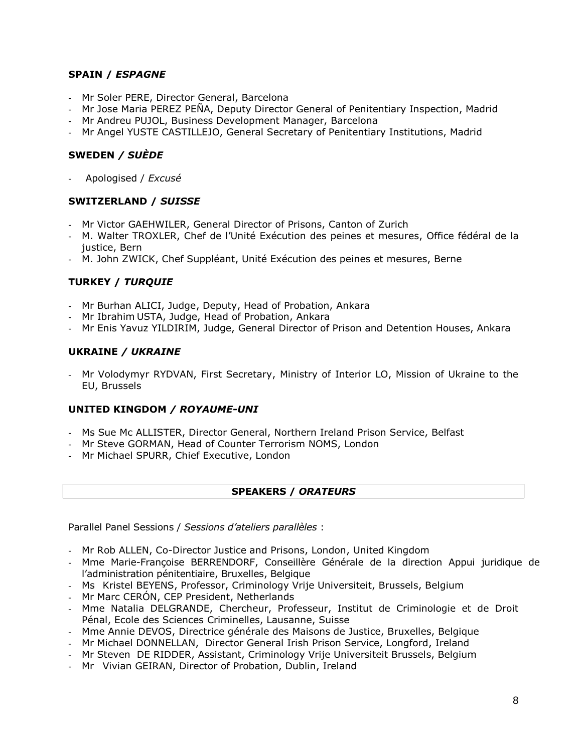## **SPAIN /** *ESPAGNE*

- Mr Soler PERE, Director General, Barcelona
- Mr Jose Maria PEREZ PEÑA, Deputy Director General of Penitentiary Inspection, Madrid
- Mr Andreu PUJOL, Business Development Manager, Barcelona
- Mr Angel YUSTE CASTILLEJO, General Secretary of Penitentiary Institutions, Madrid

## **SWEDEN** */ SUÈDE*

- Apologised / *Excusé*

#### **SWITZERLAND /** *SUISSE*

- Mr Victor GAEHWILER, General Director of Prisons, Canton of Zurich
- M. Walter TROXLER, Chef de l'Unité Exécution des peines et mesures, Office fédéral de la justice, Bern
- M. John ZWICK, Chef Suppléant, Unité Exécution des peines et mesures, Berne

## **TURKEY /** *TURQUIE*

- Mr Burhan ALICI, Judge, Deputy, Head of Probation, Ankara
- Mr Ibrahim USTA, Judge, Head of Probation, Ankara
- Mr Enis Yavuz YILDIRIM, Judge, General Director of Prison and Detention Houses, Ankara

#### **UKRAINE** */ UKRAINE*

- Mr Volodymyr RYDVAN, First Secretary, Ministry of Interior LO, Mission of Ukraine to the EU, Brussels

#### **UNITED KINGDOM** */ ROYAUME-UNI*

- Ms Sue Mc ALLISTER, Director General, Northern Ireland Prison Service, Belfast
- Mr Steve GORMAN, Head of Counter Terrorism NOMS, London
- Mr Michael SPURR, Chief Executive, London

#### **SPEAKERS /** *ORATEURS*

Parallel Panel Sessions / *Sessions d'ateliers parallèles* :

- Mr Rob ALLEN, Co-Director Justice and Prisons, London, United Kingdom
- Mme Marie-Françoise BERRENDORF, Conseillère Générale de la direction Appui juridique de l'administration pénitentiaire, Bruxelles, Belgique
- Ms Kristel BEYENS, Professor, Criminology Vrije Universiteit, Brussels, Belgium
- Mr Marc CERÓN, CEP President, Netherlands
- Mme Natalia DELGRANDE, Chercheur, Professeur, Institut de Criminologie et de Droit Pénal, Ecole des Sciences Criminelles, Lausanne, Suisse
- Mme Annie DEVOS, Directrice générale des Maisons de Justice, Bruxelles, Belgique
- Mr Michael DONNELLAN, Director General Irish Prison Service, Longford, Ireland
- Mr Steven DE RIDDER, Assistant, Criminology Vrije Universiteit Brussels, Belgium
- Mr Vivian GEIRAN, Director of Probation, Dublin, Ireland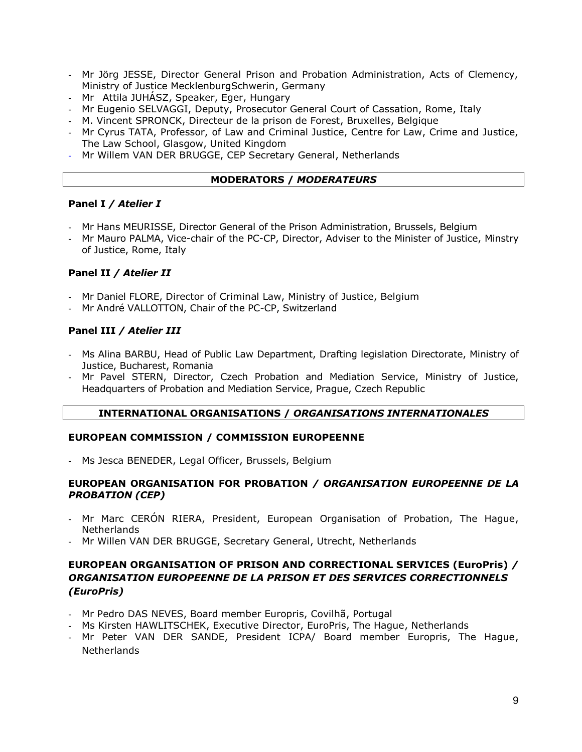- Mr Jörg JESSE, Director General Prison and Probation Administration, Acts of Clemency, Ministry of Justice MecklenburgSchwerin, Germany
- Mr Attila JUHÁSZ, Speaker, Eger, Hungary
- Mr Eugenio SELVAGGI, Deputy, Prosecutor General Court of Cassation, Rome, Italy
- M. Vincent SPRONCK, Directeur de la prison de Forest, Bruxelles, Belgique
- Mr Cyrus TATA, Professor, of Law and Criminal Justice, Centre for Law, Crime and Justice, The Law School, Glasgow, United Kingdom
- Mr Willem VAN DER BRUGGE, CEP Secretary General, Netherlands

## **MODERATORS /** *MODERATEURS*

#### **Panel I** */ Atelier I*

- Mr Hans MEURISSE, Director General of the Prison Administration, Brussels, Belgium
- Mr Mauro PALMA, Vice-chair of the PC-CP, Director, Adviser to the Minister of Justice, Minstry of Justice, Rome, Italy

## **Panel II** */ Atelier II*

- Mr Daniel FLORE, Director of Criminal Law, Ministry of Justice, Belgium
- Mr André VALLOTTON, Chair of the PC-CP, Switzerland

## **Panel III** */ Atelier III*

- Ms Alina BARBU, Head of Public Law Department, Drafting legislation Directorate, Ministry of Justice, Bucharest, Romania
- Mr Pavel STERN, Director, Czech Probation and Mediation Service, Ministry of Justice, Headquarters of Probation and Mediation Service, Prague, Czech Republic

#### **INTERNATIONAL ORGANISATIONS /** *ORGANISATIONS INTERNATIONALES*

#### **EUROPEAN COMMISSION / COMMISSION EUROPEENNE**

- Ms Jesca BENEDER, Legal Officer, Brussels, Belgium

#### **EUROPEAN ORGANISATION FOR PROBATION** */ ORGANISATION EUROPEENNE DE LA PROBATION (CEP)*

- Mr Marc CERÓN RIERA, President, European Organisation of Probation, The Hague, Netherlands
- Mr Willen VAN DER BRUGGE, Secretary General, Utrecht, Netherlands

# **EUROPEAN ORGANISATION OF PRISON AND CORRECTIONAL SERVICES (EuroPris)** */ ORGANISATION EUROPEENNE DE LA PRISON ET DES SERVICES CORRECTIONNELS (EuroPris)*

- Mr Pedro DAS NEVES, Board member Europris, Covilhã, Portugal
- Ms Kirsten HAWLITSCHEK, Executive Director, EuroPris, The Hague, Netherlands
- Mr Peter VAN DER SANDE, President ICPA/ Board member Europris, The Hague, Netherlands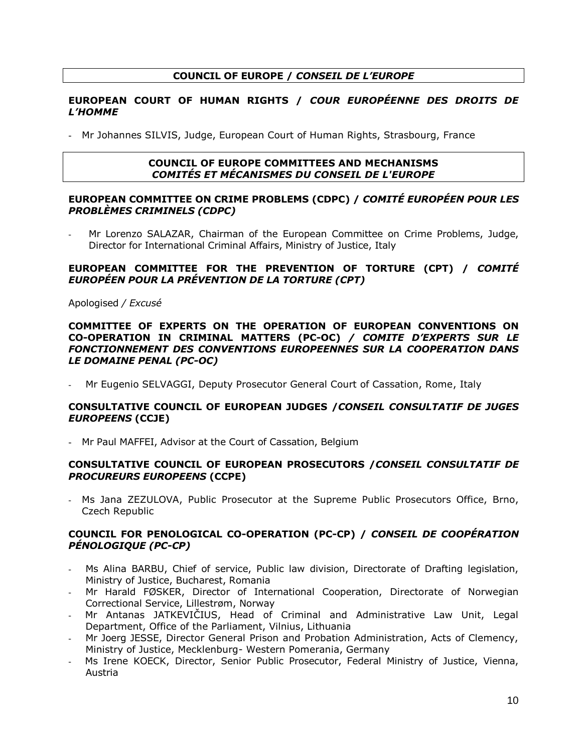# **COUNCIL OF EUROPE /** *CONSEIL DE L'EUROPE*

#### **EUROPEAN COURT OF HUMAN RIGHTS /** *COUR EUROPÉENNE DES DROITS DE L'HOMME*

- Mr Johannes SILVIS, Judge, European Court of Human Rights, Strasbourg, France

#### **COUNCIL OF EUROPE COMMITTEES AND MECHANISMS** *COMITÉS ET MÉCANISMES DU CONSEIL DE L'EUROPE*

#### **EUROPEAN COMMITTEE ON CRIME PROBLEMS (CDPC) /** *COMITÉ EUROPÉEN POUR LES PROBLÈMES CRIMINELS (CDPC)*

Mr Lorenzo SALAZAR, Chairman of the European Committee on Crime Problems, Judge, Director for International Criminal Affairs, Ministry of Justice, Italy

#### **EUROPEAN COMMITTEE FOR THE PREVENTION OF TORTURE (CPT) /** *COMITÉ EUROPÉEN POUR LA PRÉVENTION DE LA TORTURE (CPT)*

Apologised */ Excusé*

#### **COMMITTEE OF EXPERTS ON THE OPERATION OF EUROPEAN CONVENTIONS ON CO-OPERATION IN CRIMINAL MATTERS (PC-OC)** */ COMITE D'EXPERTS SUR LE FONCTIONNEMENT DES CONVENTIONS EUROPEENNES SUR LA COOPERATION DANS LE DOMAINE PENAL (PC-OC)*

Mr Eugenio SELVAGGI, Deputy Prosecutor General Court of Cassation, Rome, Italy

#### **CONSULTATIVE COUNCIL OF EUROPEAN JUDGES /***CONSEIL CONSULTATIF DE JUGES EUROPEENS* **(CCJE)**

- Mr Paul MAFFEI, Advisor at the Court of Cassation, Belgium

#### **CONSULTATIVE COUNCIL OF EUROPEAN PROSECUTORS /***CONSEIL CONSULTATIF DE PROCUREURS EUROPEENS* **(CCPE)**

- Ms Jana ZEZULOVA, Public Prosecutor at the Supreme Public Prosecutors Office, Brno, Czech Republic

#### **COUNCIL FOR PENOLOGICAL CO-OPERATION (PC-CP) /** *CONSEIL DE COOPÉRATION PÉNOLOGIQUE (PC-CP)*

- Ms Alina BARBU, Chief of service, Public law division, Directorate of Drafting legislation, Ministry of Justice, Bucharest, Romania
- Mr Harald FØSKER, Director of International Cooperation, Directorate of Norwegian Correctional Service, Lillestrøm, Norway
- Mr Antanas JATKEVIČIUS, Head of Criminal and Administrative Law Unit, Legal Department, Office of the Parliament, Vilnius, Lithuania
- Mr Joerg JESSE, Director General Prison and Probation Administration, Acts of Clemency, Ministry of Justice, Mecklenburg- Western Pomerania, Germany
- Ms Irene KOECK, Director, Senior Public Prosecutor, Federal Ministry of Justice, Vienna, Austria